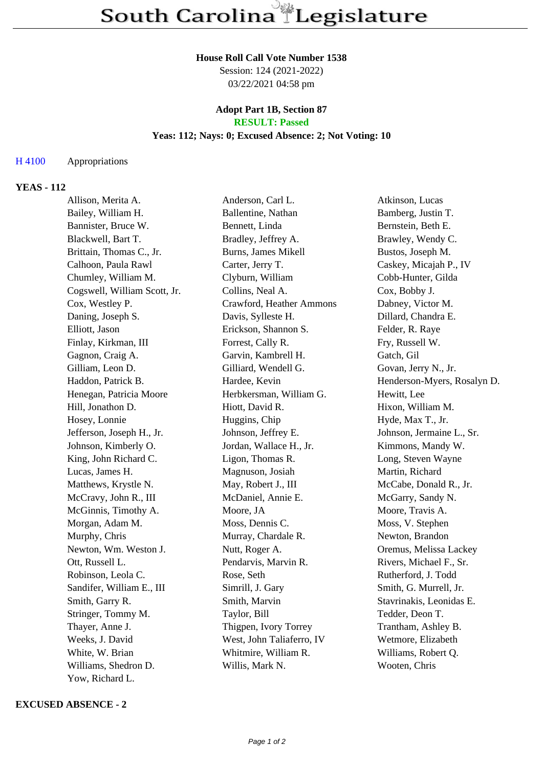#### **House Roll Call Vote Number 1538**

Session: 124 (2021-2022) 03/22/2021 04:58 pm

#### **Adopt Part 1B, Section 87 RESULT: Passed**

## **Yeas: 112; Nays: 0; Excused Absence: 2; Not Voting: 10**

### H 4100 Appropriations

## **YEAS - 112**

| Allison, Merita A.           | Anderson, Carl L.         | Atkinson, Lucas             |
|------------------------------|---------------------------|-----------------------------|
| Bailey, William H.           | Ballentine, Nathan        | Bamberg, Justin T.          |
| Bannister, Bruce W.          | Bennett, Linda            | Bernstein, Beth E.          |
| Blackwell, Bart T.           | Bradley, Jeffrey A.       | Brawley, Wendy C.           |
| Brittain, Thomas C., Jr.     | Burns, James Mikell       | Bustos, Joseph M.           |
| Calhoon, Paula Rawl          | Carter, Jerry T.          | Caskey, Micajah P., IV      |
| Chumley, William M.          | Clyburn, William          | Cobb-Hunter, Gilda          |
| Cogswell, William Scott, Jr. | Collins, Neal A.          | Cox, Bobby J.               |
| Cox, Westley P.              | Crawford, Heather Ammons  | Dabney, Victor M.           |
| Daning, Joseph S.            | Davis, Sylleste H.        | Dillard, Chandra E.         |
| Elliott, Jason               | Erickson, Shannon S.      | Felder, R. Raye             |
| Finlay, Kirkman, III         | Forrest, Cally R.         | Fry, Russell W.             |
| Gagnon, Craig A.             | Garvin, Kambrell H.       | Gatch, Gil                  |
| Gilliam, Leon D.             | Gilliard, Wendell G.      | Govan, Jerry N., Jr.        |
| Haddon, Patrick B.           | Hardee, Kevin             | Henderson-Myers, Rosalyn D. |
| Henegan, Patricia Moore      | Herbkersman, William G.   | Hewitt, Lee                 |
| Hill, Jonathon D.            | Hiott, David R.           | Hixon, William M.           |
| Hosey, Lonnie                | Huggins, Chip             | Hyde, Max T., Jr.           |
| Jefferson, Joseph H., Jr.    | Johnson, Jeffrey E.       | Johnson, Jermaine L., Sr.   |
| Johnson, Kimberly O.         | Jordan, Wallace H., Jr.   | Kimmons, Mandy W.           |
| King, John Richard C.        | Ligon, Thomas R.          | Long, Steven Wayne          |
| Lucas, James H.              | Magnuson, Josiah          | Martin, Richard             |
| Matthews, Krystle N.         | May, Robert J., III       | McCabe, Donald R., Jr.      |
| McCravy, John R., III        | McDaniel, Annie E.        | McGarry, Sandy N.           |
| McGinnis, Timothy A.         | Moore, JA                 | Moore, Travis A.            |
| Morgan, Adam M.              | Moss, Dennis C.           | Moss, V. Stephen            |
| Murphy, Chris                | Murray, Chardale R.       | Newton, Brandon             |
| Newton, Wm. Weston J.        | Nutt, Roger A.            | Oremus, Melissa Lackey      |
| Ott, Russell L.              | Pendarvis, Marvin R.      | Rivers, Michael F., Sr.     |
| Robinson, Leola C.           | Rose, Seth                | Rutherford, J. Todd         |
| Sandifer, William E., III    | Simrill, J. Gary          | Smith, G. Murrell, Jr.      |
| Smith, Garry R.              | Smith, Marvin             | Stavrinakis, Leonidas E.    |
| Stringer, Tommy M.           | Taylor, Bill              | Tedder, Deon T.             |
| Thayer, Anne J.              | Thigpen, Ivory Torrey     | Trantham, Ashley B.         |
| Weeks, J. David              | West, John Taliaferro, IV | Wetmore, Elizabeth          |
| White, W. Brian              | Whitmire, William R.      | Williams, Robert Q.         |
| Williams, Shedron D.         | Willis, Mark N.           | Wooten, Chris               |
| Yow, Richard L.              |                           |                             |

### **EXCUSED ABSENCE - 2**